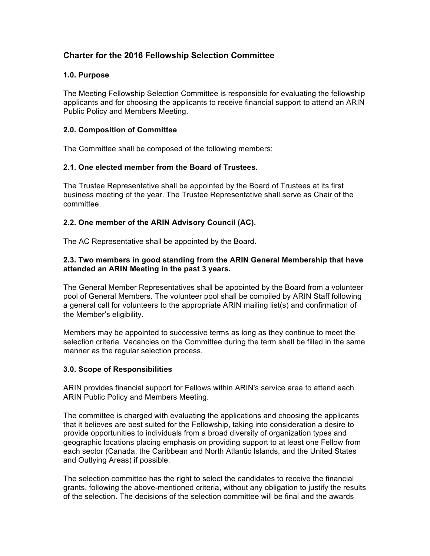# **Charter for the 2016 Fellowship Selection Committee**

# **1.0. Purpose**

The Meeting Fellowship Selection Committee is responsible for evaluating the fellowship applicants and for choosing the applicants to receive financial support to attend an ARIN Public Policy and Members Meeting.

#### **2.0. Composition of Committee**

The Committee shall be composed of the following members:

#### **2.1. One elected member from the Board of Trustees.**

The Trustee Representative shall be appointed by the Board of Trustees at its first business meeting of the year. The Trustee Representative shall serve as Chair of the committee.

# **2.2. One member of the ARIN Advisory Council (AC).**

The AC Representative shall be appointed by the Board.

#### **2.3. Two members in good standing from the ARIN General Membership that have attended an ARIN Meeting in the past 3 years.**

The General Member Representatives shall be appointed by the Board from a volunteer pool of General Members. The volunteer pool shall be compiled by ARIN Staff following a general call for volunteers to the appropriate ARIN mailing list(s) and confirmation of the Member's eligibility.

Members may be appointed to successive terms as long as they continue to meet the selection criteria. Vacancies on the Committee during the term shall be filled in the same manner as the regular selection process.

# **3.0. Scope of Responsibilities**

ARIN provides financial support for Fellows within ARIN's service area to attend each ARIN Public Policy and Members Meeting.

The committee is charged with evaluating the applications and choosing the applicants that it believes are best suited for the Fellowship, taking into consideration a desire to provide opportunities to individuals from a broad diversity of organization types and geographic locations placing emphasis on providing support to at least one Fellow from each sector (Canada, the Caribbean and North Atlantic Islands, and the United States and Outlying Areas) if possible.

The selection committee has the right to select the candidates to receive the financial grants, following the above-mentioned criteria, without any obligation to justify the results of the selection. The decisions of the selection committee will be final and the awards